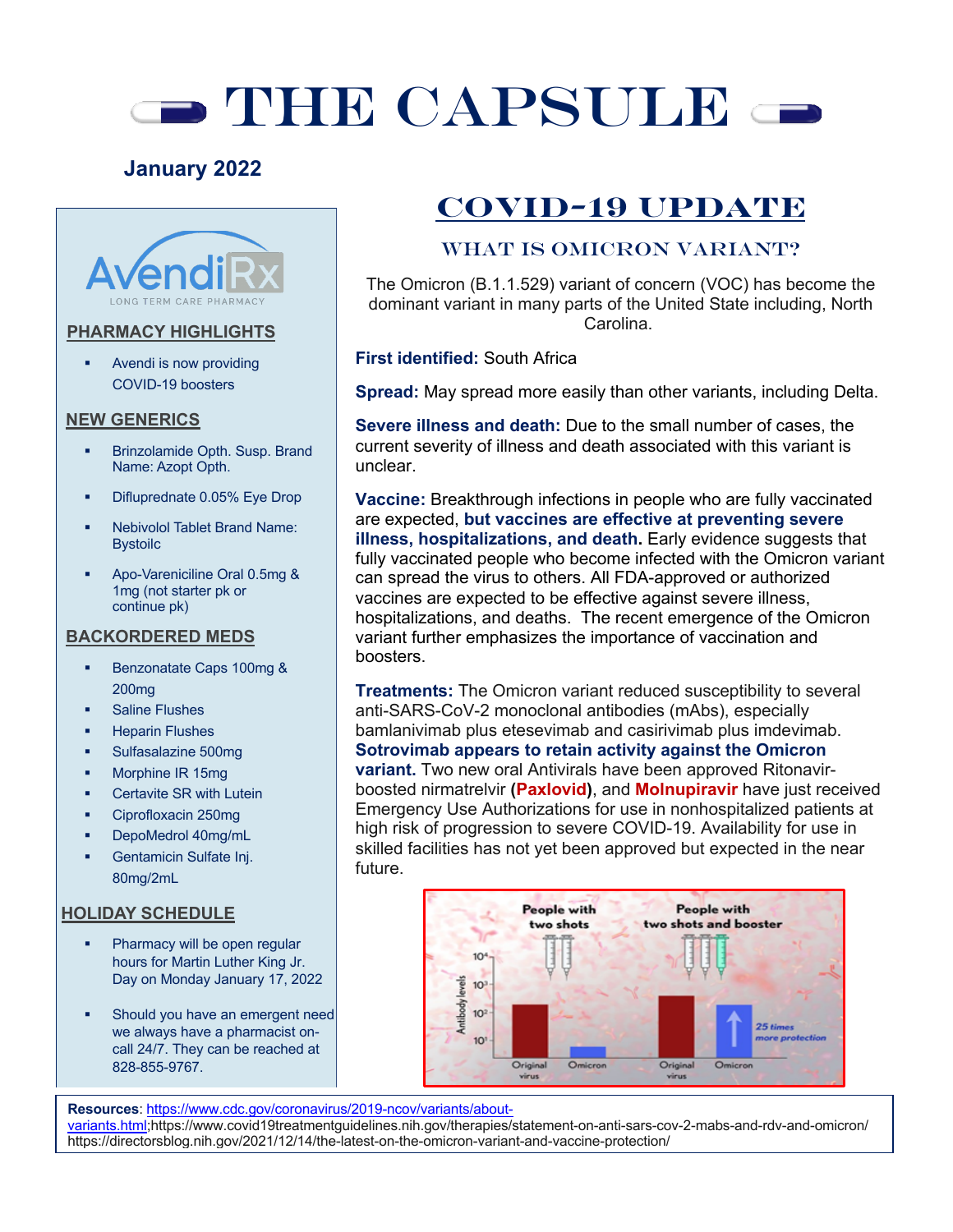# $\rightarrow$  THE CAPSULE  $\leftarrow$

### **January 2022**



#### **PHARMACY HIGHLIGHTS**

§ Avendi is now providing COVID-19 boosters

#### **NEW GENERICS**

- § Brinzolamide Opth. Susp. Brand Name: Azopt Opth.
- § Difluprednate 0.05% Eye Drop
- § Nebivolol Tablet Brand Name: Bystoilc
- § Apo-Vareniciline Oral 0.5mg & 1mg (not starter pk or continue pk)

#### **BACKORDERED MEDS**

- § Benzonatate Caps 100mg & 200mg
- § Saline Flushes
- § Heparin Flushes
- § Sulfasalazine 500mg
- § Morphine IR 15mg
- § Certavite SR with Lutein
- § Ciprofloxacin 250mg
- § DepoMedrol 40mg/mL
- § Gentamicin Sulfate Inj. 80mg/2mL

#### **HOLIDAY SCHEDULE**

- Pharmacy will be open regular hours for Martin Luther King Jr. Day on Monday January 17, 2022
- § Should you have an emergent need we always have a pharmacist oncall 24/7. They can be reached at 828-855-9767.

# **COVID-19 UPDATE**

#### WHAT IS OMICRON VARIANT?

The Omicron (B.1.1.529) variant of concern (VOC) has become the dominant variant in many parts of the United State including, North Carolina.

#### **First identified:** South Africa

**Spread:** May spread more easily than other variants, including Delta.

**Severe illness and death:** Due to the small number of cases, the current severity of illness and death associated with this variant is unclear.

**Vaccine:** Breakthrough infections in people who are fully vaccinated are expected, **but vaccines are effective at preventing severe illness, hospitalizations, and death.** Early evidence suggests that fully vaccinated people who become infected with the Omicron variant can spread the virus to others. All FDA-approved or authorized vaccines are expected to be effective against severe illness, hospitalizations, and deaths. The recent emergence of the Omicron variant further emphasizes the importance of vaccination and boosters.

**Treatments:** The Omicron variant reduced susceptibility to several anti-SARS-CoV-2 monoclonal antibodies (mAbs), especially bamlanivimab plus etesevimab and casirivimab plus imdevimab. **Sotrovimab appears to retain activity against the Omicron variant.** Two new oral Antivirals have been approved Ritonavirboosted nirmatrelvir **(Paxlovid)**, and **Molnupiravir** have just received Emergency Use Authorizations for use in nonhospitalized patients at high risk of progression to severe COVID-19. Availability for use in skilled facilities has not yet been approved but expected in the near future.



**Resources**: https://www.cdc.gov/coronavirus/2019-ncov/variants/aboutvariants.html;https://www.covid19treatmentguidelines.nih.gov/therapies/statement-on-anti-sars-cov-2-mabs-and-rdv-and-omicron/ https://directorsblog.nih.gov/2021/12/14/the-latest-on-the-omicron-variant-and-vaccine-protection/